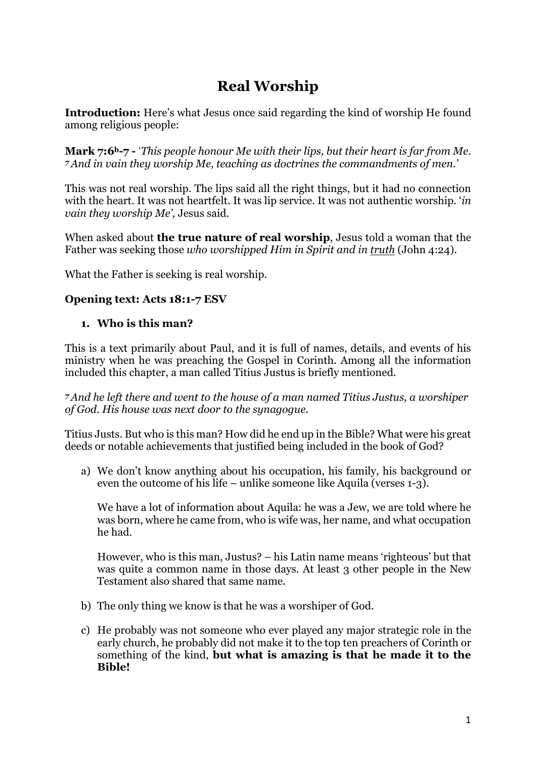# **Real Worship**

**Introduction:** Here's what Jesus once said regarding the kind of worship He found among religious people:

**Mark 7:6b-7 -** '*This people honour Me with their lips, but their heart is far from Me. <sup>7</sup>And in vain they worship Me, teaching as doctrines the commandments of men.'*

This was not real worship. The lips said all the right things, but it had no connection with the heart. It was not heartfelt. It was lip service. It was not authentic worship. '*in vain they worship Me',* Jesus said.

When asked about **the true nature of real worship**, Jesus told a woman that the Father was seeking those *who worshipped Him in Spirit and in truth* (John 4:24).

What the Father is seeking is real worship.

#### **Opening text: Acts 18:1-7 ESV**

#### **1. Who is this man?**

This is a text primarily about Paul, and it is full of names, details, and events of his ministry when he was preaching the Gospel in Corinth. Among all the information included this chapter, a man called Titius Justus is briefly mentioned.

*<sup>7</sup>And he left there and went to the house of a man named Titius Justus, a worshiper of God. His house was next door to the synagogue.*

Titius Justs. But who is this man? How did he end up in the Bible? What were his great deeds or notable achievements that justified being included in the book of God?

a) We don't know anything about his occupation, his family, his background or even the outcome of his life – unlike someone like Aquila (verses 1-3).

We have a lot of information about Aquila: he was a Jew, we are told where he was born, where he came from, who is wife was, her name, and what occupation he had.

However, who is this man, Justus? – his Latin name means 'righteous' but that was quite a common name in those days. At least 3 other people in the New Testament also shared that same name.

- b) The only thing we know is that he was a worshiper of God.
- c) He probably was not someone who ever played any major strategic role in the early church, he probably did not make it to the top ten preachers of Corinth or something of the kind, **but what is amazing is that he made it to the Bible!**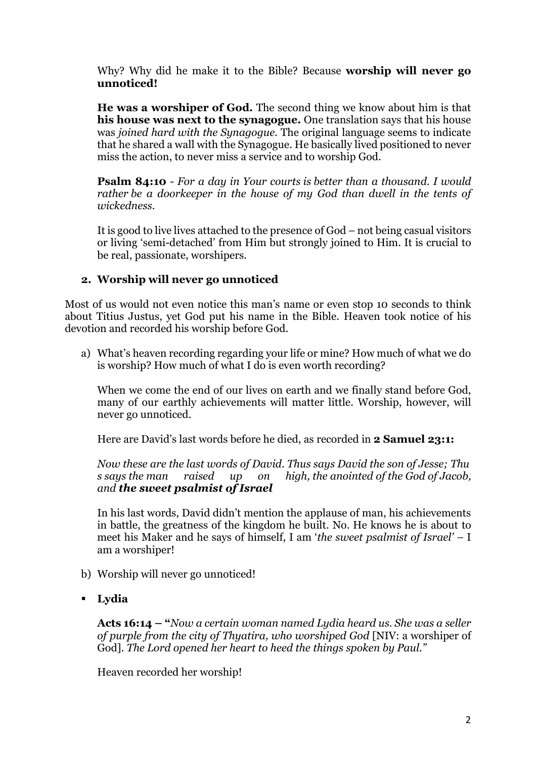Why? Why did he make it to the Bible? Because **worship will never go unnoticed!** 

**He was a worshiper of God.** The second thing we know about him is that **his house was next to the synagogue.** One translation says that his house was *joined hard with the Synagogue.* The original language seems to indicate that he shared a wall with the Synagogue. He basically lived positioned to never miss the action, to never miss a service and to worship God.

**Psalm 84:10** - *For a day in Your courts is better than a thousand. I would rather be a doorkeeper in the house of my God than dwell in the tents of wickedness.*

It is good to live lives attached to the presence of God – not being casual visitors or living 'semi-detached' from Him but strongly joined to Him. It is crucial to be real, passionate, worshipers.

## **2. Worship will never go unnoticed**

Most of us would not even notice this man's name or even stop 10 seconds to think about Titius Justus, yet God put his name in the Bible. Heaven took notice of his devotion and recorded his worship before God.

a) What's heaven recording regarding your life or mine? How much of what we do is worship? How much of what I do is even worth recording?

When we come the end of our lives on earth and we finally stand before God, many of our earthly achievements will matter little. Worship, however, will never go unnoticed.

Here are David's last words before he died, as recorded in **2 Samuel 23:1:** 

*Now these are the last words of David. Thus says David the son of Jesse; Thu s says the man raised up on high, the anointed of the God of Jacob, and the sweet psalmist of Israel*

In his last words, David didn't mention the applause of man, his achievements in battle, the greatness of the kingdom he built. No. He knows he is about to meet his Maker and he says of himself, I am '*the sweet psalmist of Israel' –* I am a worshiper!

- b) Worship will never go unnoticed!
- **Lydia**

**Acts 16:14 – "***Now a certain woman named Lydia heard us. She was a seller of purple from the city of Thyatira, who worshiped God* [NIV: a worshiper of God]*. The Lord opened her heart to heed the things spoken by Paul."*

Heaven recorded her worship!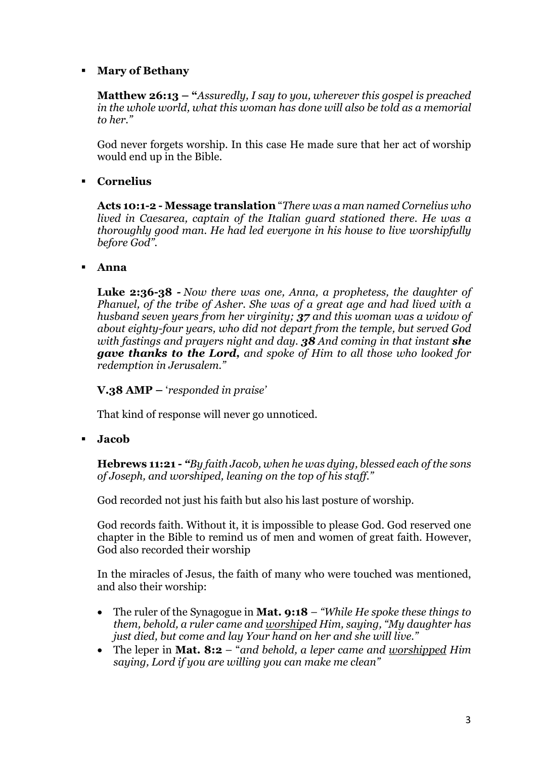#### **Mary of Bethany**

**Matthew 26:13 – "***Assuredly, I say to you, wherever this gospel is preached in the whole world, what this woman has done will also be told as a memorial to her."*

God never forgets worship. In this case He made sure that her act of worship would end up in the Bible.

## **Cornelius**

**Acts 10:1-2 - Message translation** "*There was a man named Cornelius who lived in Caesarea, captain of the Italian guard stationed there. He was a thoroughly good man. He had led everyone in his house to live worshipfully before God".*

#### **Anna**

**Luke 2:36-38** *- Now there was one, Anna, a prophetess, the daughter of Phanuel, of the tribe of Asher. She was of a great age and had lived with a husband seven years from her virginity; 37 and this woman was a widow of about eighty-four years, who did not depart from the temple, but served God with fastings and prayers night and day. 38 And coming in that instant she gave thanks to the Lord, and spoke of Him to all those who looked for redemption in Jerusalem."*

**V.38 AMP –** '*responded in praise'*

That kind of response will never go unnoticed.

**Jacob**

**Hebrews 11:21 -** *"By faith Jacob, when he was dying, blessed each of the sons of Joseph, and worshiped, leaning on the top of his staff."*

God recorded not just his faith but also his last posture of worship.

God records faith. Without it, it is impossible to please God. God reserved one chapter in the Bible to remind us of men and women of great faith. However, God also recorded their worship

In the miracles of Jesus, the faith of many who were touched was mentioned, and also their worship:

- The ruler of the Synagogue in **Mat. 9:18** *"While He spoke these things to them, behold, a ruler came and worshiped Him, saying, "My daughter has just died, but come and lay Your hand on her and she will live."*
- The leper in **Mat. 8:2** "*and behold, a leper came and worshipped Him saying, Lord if you are willing you can make me clean"*